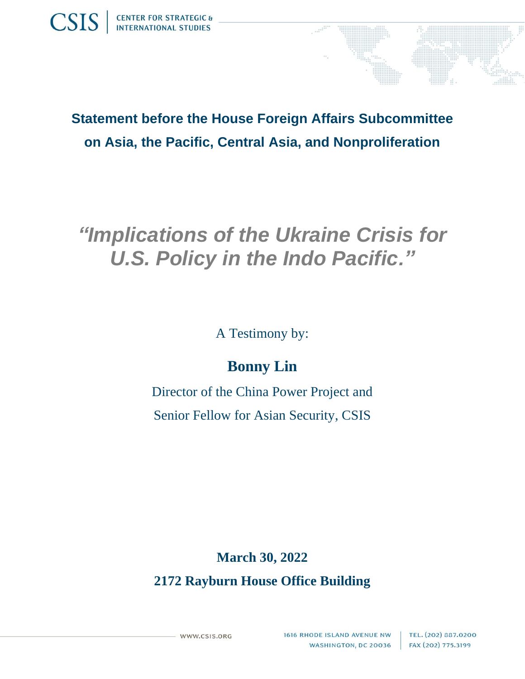



# *"Implications of the Ukraine Crisis for U.S. Policy in the Indo Pacific."*

A Testimony by:

## **Bonny Lin**

Director of the China Power Project and Senior Fellow for Asian Security, CSIS

### **March 30, 2022**

**2172 Rayburn House Office Building**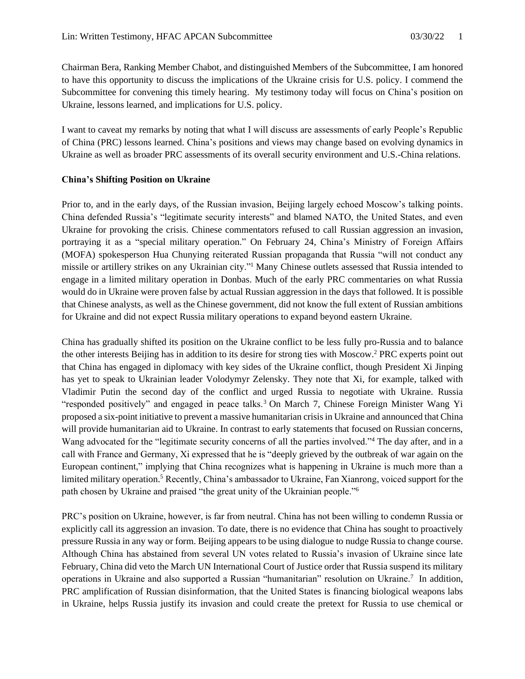Chairman Bera, Ranking Member Chabot, and distinguished Members of the Subcommittee, I am honored to have this opportunity to discuss the implications of the Ukraine crisis for U.S. policy. I commend the Subcommittee for convening this timely hearing. My testimony today will focus on China's position on Ukraine, lessons learned, and implications for U.S. policy.

I want to caveat my remarks by noting that what I will discuss are assessments of early People's Republic of China (PRC) lessons learned. China's positions and views may change based on evolving dynamics in Ukraine as well as broader PRC assessments of its overall security environment and U.S.-China relations.

#### **China's Shifting Position on Ukraine**

Prior to, and in the early days, of the Russian invasion, Beijing largely echoed Moscow's talking points. China defended Russia's "legitimate security interests" and blamed NATO, the United States, and even Ukraine for provoking the crisis. Chinese commentators refused to call Russian aggression an invasion, portraying it as a "special military operation." On February 24, China's Ministry of Foreign Affairs (MOFA) spokesperson Hua Chunying reiterated Russian propaganda that Russia "will not conduct any missile or artillery strikes on any Ukrainian city."<sup>1</sup> Many Chinese outlets assessed that Russia intended to engage in a limited military operation in Donbas. Much of the early PRC commentaries on what Russia would do in Ukraine were proven false by actual Russian aggression in the days that followed. It is possible that Chinese analysts, as well as the Chinese government, did not know the full extent of Russian ambitions for Ukraine and did not expect Russia military operations to expand beyond eastern Ukraine.

China has gradually shifted its position on the Ukraine conflict to be less fully pro-Russia and to balance the other interests Beijing has in addition to its desire for strong ties with Moscow. <sup>2</sup> PRC experts point out that China has engaged in diplomacy with key sides of the Ukraine conflict, though President Xi Jinping has yet to speak to Ukrainian leader Volodymyr Zelensky. They note that Xi, for example, talked with Vladimir Putin the second day of the conflict and urged Russia to negotiate with Ukraine. Russia "responded positively" and engaged in peace talks.<sup>3</sup> On March 7, Chinese Foreign Minister Wang Yi proposed a six-point initiative to prevent a massive humanitarian crisis in Ukraine and announced that China will provide humanitarian aid to Ukraine. In contrast to early statements that focused on Russian concerns, Wang advocated for the "legitimate security concerns of all the parties involved."<sup>4</sup> The day after, and in a call with France and Germany, Xi expressed that he is "deeply grieved by the outbreak of war again on the European continent," implying that China recognizes what is happening in Ukraine is much more than a limited military operation.<sup>5</sup> Recently, China's ambassador to Ukraine, Fan Xianrong, voiced support for the path chosen by Ukraine and praised "the great unity of the Ukrainian people."<sup>6</sup>

PRC's position on Ukraine, however, is far from neutral. China has not been willing to condemn Russia or explicitly call its aggression an invasion. To date, there is no evidence that China has sought to proactively pressure Russia in any way or form. Beijing appears to be using dialogue to nudge Russia to change course. Although China has abstained from several UN votes related to Russia's invasion of Ukraine since late February, China did veto the March UN International Court of Justice order that Russia suspend its military operations in Ukraine and also supported a Russian "humanitarian" resolution on Ukraine.<sup>7</sup> In addition, PRC amplification of Russian disinformation, that the United States is financing biological weapons labs in Ukraine, helps Russia justify its invasion and could create the pretext for Russia to use chemical or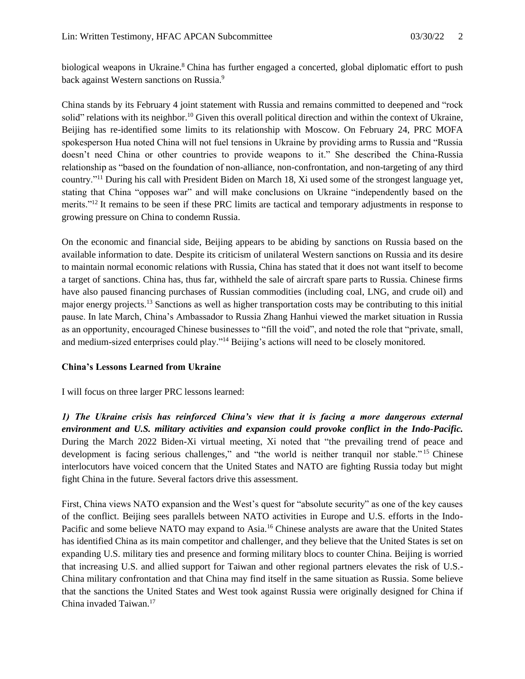biological weapons in Ukraine.<sup>8</sup> China has further engaged a concerted, global diplomatic effort to push back against Western sanctions on Russia.<sup>9</sup>

China stands by its February 4 joint statement with Russia and remains committed to deepened and "rock solid" relations with its neighbor.<sup>10</sup> Given this overall political direction and within the context of Ukraine, Beijing has re-identified some limits to its relationship with Moscow. On February 24, PRC MOFA spokesperson Hua noted China will not fuel tensions in Ukraine by providing arms to Russia and "Russia doesn't need China or other countries to provide weapons to it." She described the China-Russia relationship as "based on the foundation of non-alliance, non-confrontation, and non-targeting of any third country."<sup>11</sup> During his call with President Biden on March 18, Xi used some of the strongest language yet, stating that China "opposes war" and will make conclusions on Ukraine "independently based on the merits."<sup>12</sup> It remains to be seen if these PRC limits are tactical and temporary adjustments in response to growing pressure on China to condemn Russia.

On the economic and financial side, Beijing appears to be abiding by sanctions on Russia based on the available information to date. Despite its criticism of unilateral Western sanctions on Russia and its desire to maintain normal economic relations with Russia, China has stated that it does not want itself to become a target of sanctions. China has, thus far, withheld the sale of aircraft spare parts to Russia. Chinese firms have also paused financing purchases of Russian commodities (including coal, LNG, and crude oil) and major energy projects.<sup>13</sup> Sanctions as well as higher transportation costs may be contributing to this initial pause. In late March, China's Ambassador to Russia Zhang Hanhui viewed the market situation in Russia as an opportunity, encouraged Chinese businesses to "fill the void", and noted the role that "private, small, and medium-sized enterprises could play."<sup>14</sup> Beijing's actions will need to be closely monitored.

#### **China's Lessons Learned from Ukraine**

I will focus on three larger PRC lessons learned:

*1) The Ukraine crisis has reinforced China's view that it is facing a more dangerous external environment and U.S. military activities and expansion could provoke conflict in the Indo-Pacific.*  During the March 2022 Biden-Xi virtual meeting, Xi noted that "the prevailing trend of peace and development is facing serious challenges," and "the world is neither tranquil nor stable."<sup>15</sup> Chinese interlocutors have voiced concern that the United States and NATO are fighting Russia today but might fight China in the future. Several factors drive this assessment.

First, China views NATO expansion and the West's quest for "absolute security" as one of the key causes of the conflict. Beijing sees parallels between NATO activities in Europe and U.S. efforts in the Indo-Pacific and some believe NATO may expand to Asia.<sup>16</sup> Chinese analysts are aware that the United States has identified China as its main competitor and challenger, and they believe that the United States is set on expanding U.S. military ties and presence and forming military blocs to counter China. Beijing is worried that increasing U.S. and allied support for Taiwan and other regional partners elevates the risk of U.S.- China military confrontation and that China may find itself in the same situation as Russia. Some believe that the sanctions the United States and West took against Russia were originally designed for China if China invaded Taiwan.17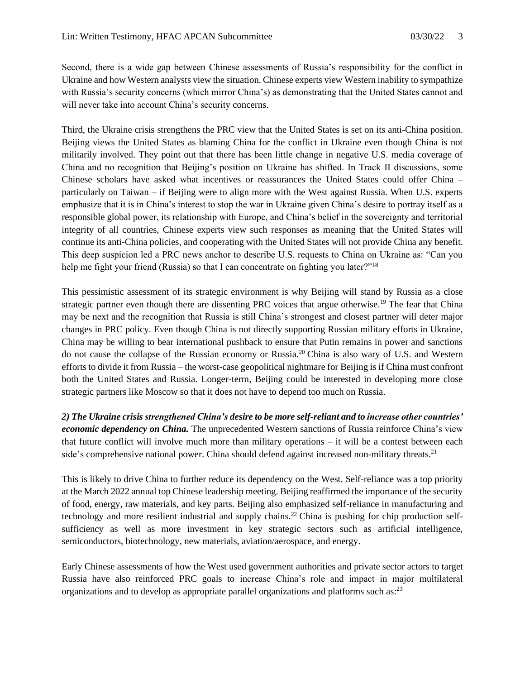Second, there is a wide gap between Chinese assessments of Russia's responsibility for the conflict in Ukraine and how Western analysts view the situation. Chinese experts view Western inability to sympathize with Russia's security concerns (which mirror China's) as demonstrating that the United States cannot and will never take into account China's security concerns.

Third, the Ukraine crisis strengthens the PRC view that the United States is set on its anti-China position. Beijing views the United States as blaming China for the conflict in Ukraine even though China is not militarily involved. They point out that there has been little change in negative U.S. media coverage of China and no recognition that Beijing's position on Ukraine has shifted. In Track II discussions, some Chinese scholars have asked what incentives or reassurances the United States could offer China – particularly on Taiwan – if Beijing were to align more with the West against Russia. When U.S. experts emphasize that it is in China's interest to stop the war in Ukraine given China's desire to portray itself as a responsible global power, its relationship with Europe, and China's belief in the sovereignty and territorial integrity of all countries, Chinese experts view such responses as meaning that the United States will continue its anti-China policies, and cooperating with the United States will not provide China any benefit. This deep suspicion led a PRC news anchor to describe U.S. requests to China on Ukraine as: "Can you help me fight your friend (Russia) so that I can concentrate on fighting you later?"<sup>18</sup>

This pessimistic assessment of its strategic environment is why Beijing will stand by Russia as a close strategic partner even though there are dissenting PRC voices that argue otherwise.<sup>19</sup> The fear that China may be next and the recognition that Russia is still China's strongest and closest partner will deter major changes in PRC policy. Even though China is not directly supporting Russian military efforts in Ukraine, China may be willing to bear international pushback to ensure that Putin remains in power and sanctions do not cause the collapse of the Russian economy or Russia.<sup>20</sup> China is also wary of U.S. and Western efforts to divide it from Russia – the worst-case geopolitical nightmare for Beijing is if China must confront both the United States and Russia. Longer-term, Beijing could be interested in developing more close strategic partners like Moscow so that it does not have to depend too much on Russia.

*2) The Ukraine crisis strengthened China's desire to be more self-reliant and to increase other countries' economic dependency on China.* The unprecedented Western sanctions of Russia reinforce China's view that future conflict will involve much more than military operations – it will be a contest between each side's comprehensive national power. China should defend against increased non-military threats.<sup>21</sup>

This is likely to drive China to further reduce its dependency on the West. Self-reliance was a top priority at the March 2022 annual top Chinese leadership meeting. Beijing reaffirmed the importance of the security of food, energy, raw materials, and key parts. Beijing also emphasized self-reliance in manufacturing and technology and more resilient industrial and supply chains.<sup>22</sup> China is pushing for chip production selfsufficiency as well as more investment in key strategic sectors such as artificial intelligence, semiconductors, biotechnology, new materials, aviation/aerospace, and energy.

Early Chinese assessments of how the West used government authorities and private sector actors to target Russia have also reinforced PRC goals to increase China's role and impact in major multilateral organizations and to develop as appropriate parallel organizations and platforms such as: $^{23}$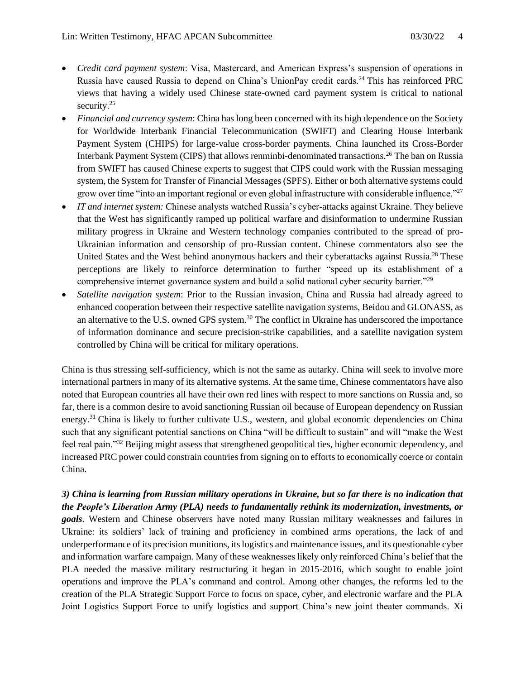- *Credit card payment system*: Visa, Mastercard, and American Express's suspension of operations in Russia have caused Russia to depend on China's UnionPay credit cards.<sup>24</sup> This has reinforced PRC views that having a widely used Chinese state-owned card payment system is critical to national security.<sup>25</sup>
- *Financial and currency system*: China has long been concerned with its high dependence on the Society for Worldwide Interbank Financial Telecommunication (SWIFT) and Clearing House Interbank Payment System (CHIPS) for large-value cross-border payments. China launched its Cross-Border Interbank Payment System (CIPS) that allows renminbi-denominated transactions.<sup>26</sup> The ban on Russia from SWIFT has caused Chinese experts to suggest that CIPS could work with the Russian messaging system, the System for Transfer of Financial Messages (SPFS). Either or both alternative systems could grow over time "into an important regional or even global infrastructure with considerable influence."<sup>27</sup>
- *IT and internet system:* Chinese analysts watched Russia's cyber-attacks against Ukraine. They believe that the West has significantly ramped up political warfare and disinformation to undermine Russian military progress in Ukraine and Western technology companies contributed to the spread of pro-Ukrainian information and censorship of pro-Russian content. Chinese commentators also see the United States and the West behind anonymous hackers and their cyberattacks against Russia.<sup>28</sup> These perceptions are likely to reinforce determination to further "speed up its establishment of a comprehensive internet governance system and build a solid national cyber security barrier."<sup>29</sup>
- *Satellite navigation system*: Prior to the Russian invasion, China and Russia had already agreed to enhanced cooperation between their respective satellite navigation systems, Beidou and GLONASS, as an alternative to the U.S. owned GPS system.<sup>30</sup> The conflict in Ukraine has underscored the importance of information dominance and secure precision-strike capabilities, and a satellite navigation system controlled by China will be critical for military operations.

China is thus stressing self-sufficiency, which is not the same as autarky. China will seek to involve more international partners in many of its alternative systems. At the same time, Chinese commentators have also noted that European countries all have their own red lines with respect to more sanctions on Russia and, so far, there is a common desire to avoid sanctioning Russian oil because of European dependency on Russian energy.<sup>31</sup> China is likely to further cultivate U.S., western, and global economic dependencies on China such that any significant potential sanctions on China "will be difficult to sustain" and will "make the West feel real pain."<sup>32</sup> Beijing might assess that strengthened geopolitical ties, higher economic dependency, and increased PRC power could constrain countries from signing on to efforts to economically coerce or contain China.

*3) China is learning from Russian military operations in Ukraine, but so far there is no indication that the People's Liberation Army (PLA) needs to fundamentally rethink its modernization, investments, or goals*. Western and Chinese observers have noted many Russian military weaknesses and failures in Ukraine: its soldiers' lack of training and proficiency in combined arms operations, the lack of and underperformance of its precision munitions, its logistics and maintenance issues, and its questionable cyber and information warfare campaign. Many of these weaknesses likely only reinforced China's belief that the PLA needed the massive military restructuring it began in 2015-2016, which sought to enable joint operations and improve the PLA's command and control. Among other changes, the reforms led to the creation of the PLA Strategic Support Force to focus on space, cyber, and electronic warfare and the PLA Joint Logistics Support Force to unify logistics and support China's new joint theater commands. Xi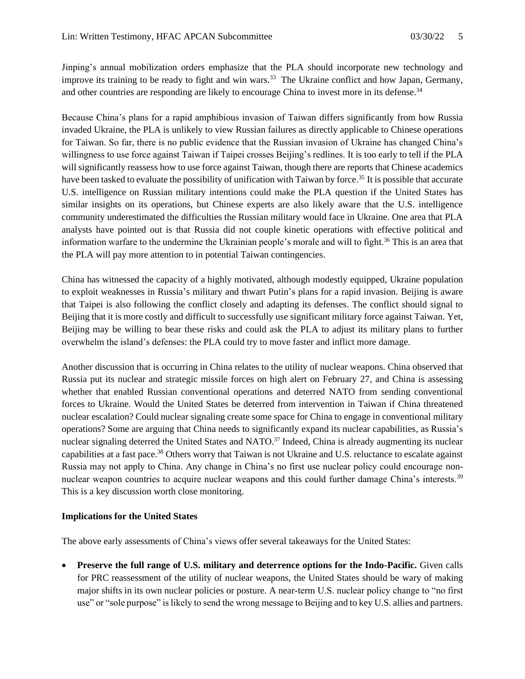Jinping's annual mobilization orders emphasize that the PLA should incorporate new technology and improve its training to be ready to fight and win wars.<sup>33</sup> The Ukraine conflict and how Japan, Germany, and other countries are responding are likely to encourage China to invest more in its defense.<sup>34</sup>

Because China's plans for a rapid amphibious invasion of Taiwan differs significantly from how Russia invaded Ukraine, the PLA is unlikely to view Russian failures as directly applicable to Chinese operations for Taiwan. So far, there is no public evidence that the Russian invasion of Ukraine has changed China's willingness to use force against Taiwan if Taipei crosses Beijing's redlines. It is too early to tell if the PLA will significantly reassess how to use force against Taiwan, though there are reports that Chinese academics have been tasked to evaluate the possibility of unification with Taiwan by force.<sup>35</sup> It is possible that accurate U.S. intelligence on Russian military intentions could make the PLA question if the United States has similar insights on its operations, but Chinese experts are also likely aware that the U.S. intelligence community underestimated the difficulties the Russian military would face in Ukraine. One area that PLA analysts have pointed out is that Russia did not couple kinetic operations with effective political and information warfare to the undermine the Ukrainian people's morale and will to fight.<sup>36</sup> This is an area that the PLA will pay more attention to in potential Taiwan contingencies.

China has witnessed the capacity of a highly motivated, although modestly equipped, Ukraine population to exploit weaknesses in Russia's military and thwart Putin's plans for a rapid invasion. Beijing is aware that Taipei is also following the conflict closely and adapting its defenses. The conflict should signal to Beijing that it is more costly and difficult to successfully use significant military force against Taiwan. Yet, Beijing may be willing to bear these risks and could ask the PLA to adjust its military plans to further overwhelm the island's defenses: the PLA could try to move faster and inflict more damage.

Another discussion that is occurring in China relates to the utility of nuclear weapons. China observed that Russia put its nuclear and strategic missile forces on high alert on February 27, and China is assessing whether that enabled Russian conventional operations and deterred NATO from sending conventional forces to Ukraine. Would the United States be deterred from intervention in Taiwan if China threatened nuclear escalation? Could nuclear signaling create some space for China to engage in conventional military operations? Some are arguing that China needs to significantly expand its nuclear capabilities, as Russia's nuclear signaling deterred the United States and NATO.<sup>37</sup> Indeed, China is already augmenting its nuclear capabilities at a fast pace.<sup>38</sup> Others worry that Taiwan is not Ukraine and U.S. reluctance to escalate against Russia may not apply to China. Any change in China's no first use nuclear policy could encourage nonnuclear weapon countries to acquire nuclear weapons and this could further damage China's interests.<sup>39</sup> This is a key discussion worth close monitoring.

#### **Implications for the United States**

The above early assessments of China's views offer several takeaways for the United States:

• **Preserve the full range of U.S. military and deterrence options for the Indo-Pacific. Given calls** for PRC reassessment of the utility of nuclear weapons, the United States should be wary of making major shifts in its own nuclear policies or posture. A near-term U.S. nuclear policy change to "no first use" or "sole purpose" is likely to send the wrong message to Beijing and to key U.S. allies and partners.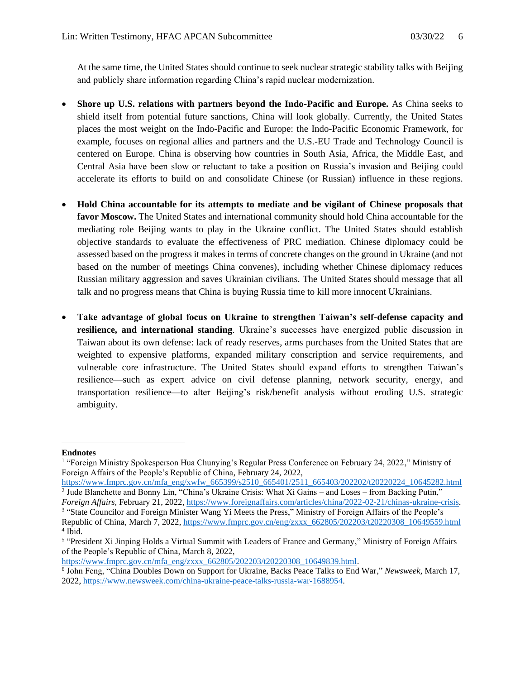At the same time, the United States should continue to seek nuclear strategic stability talks with Beijing and publicly share information regarding China's rapid nuclear modernization.

- **Shore up U.S. relations with partners beyond the Indo-Pacific and Europe.** As China seeks to shield itself from potential future sanctions, China will look globally. Currently, the United States places the most weight on the Indo-Pacific and Europe: the Indo-Pacific Economic Framework, for example, focuses on regional allies and partners and the U.S.-EU Trade and Technology Council is centered on Europe. China is observing how countries in South Asia, Africa, the Middle East, and Central Asia have been slow or reluctant to take a position on Russia's invasion and Beijing could accelerate its efforts to build on and consolidate Chinese (or Russian) influence in these regions.
- **Hold China accountable for its attempts to mediate and be vigilant of Chinese proposals that favor Moscow.** The United States and international community should hold China accountable for the mediating role Beijing wants to play in the Ukraine conflict. The United States should establish objective standards to evaluate the effectiveness of PRC mediation. Chinese diplomacy could be assessed based on the progress it makes in terms of concrete changes on the ground in Ukraine (and not based on the number of meetings China convenes), including whether Chinese diplomacy reduces Russian military aggression and saves Ukrainian civilians. The United States should message that all talk and no progress means that China is buying Russia time to kill more innocent Ukrainians.
- **Take advantage of global focus on Ukraine to strengthen Taiwan's self-defense capacity and resilience, and international standing**. Ukraine's successes have energized public discussion in Taiwan about its own defense: lack of ready reserves, arms purchases from the United States that are weighted to expensive platforms, expanded military conscription and service requirements, and vulnerable core infrastructure. The United States should expand efforts to strengthen Taiwan's resilience—such as expert advice on civil defense planning, network security, energy, and transportation resilience—to alter Beijing's risk/benefit analysis without eroding U.S. strategic ambiguity.

[https://www.fmprc.gov.cn/mfa\\_eng/zxxx\\_662805/202203/t20220308\\_10649839.html.](https://www.fmprc.gov.cn/mfa_eng/zxxx_662805/202203/t20220308_10649839.html)

**Endnotes**

<sup>&</sup>lt;sup>1</sup> "Foreign Ministry Spokesperson Hua Chunying's Regular Press Conference on February 24, 2022," Ministry of Foreign Affairs of the People's Republic of China, February 24, 2022,

[https://www.fmprc.gov.cn/mfa\\_eng/xwfw\\_665399/s2510\\_665401/2511\\_665403/202202/t20220224\\_10645282.html](https://www.fmprc.gov.cn/mfa_eng/xwfw_665399/s2510_665401/2511_665403/202202/t20220224_10645282.html) <sup>2</sup> Jude Blanchette and Bonny Lin, "China's Ukraine Crisis: What Xi Gains - and Loses - from Backing Putin," *Foreign Affairs,* February 21, 2022[, https://www.foreignaffairs.com/articles/china/2022-02-21/chinas-ukraine-crisis.](https://www.foreignaffairs.com/articles/china/2022-02-21/chinas-ukraine-crisis)

<sup>&</sup>lt;sup>3</sup> "State Councilor and Foreign Minister Wang Yi Meets the Press," Ministry of Foreign Affairs of the People's Republic of China, March 7, 2022, https://www.fmprc.gov.cn/eng/zxxx 662805/202203/t20220308\_10649559.html 4 Ibid.

<sup>&</sup>lt;sup>5</sup> "President Xi Jinping Holds a Virtual Summit with Leaders of France and Germany," Ministry of Foreign Affairs of the People's Republic of China*,* March 8, 2022,

<sup>6</sup> John Feng, "China Doubles Down on Support for Ukraine, Backs Peace Talks to End War," *Newsweek,* March 17, 2022, [https://www.newsweek.com/china-ukraine-peace-talks-russia-war-1688954.](https://www.newsweek.com/china-ukraine-peace-talks-russia-war-1688954)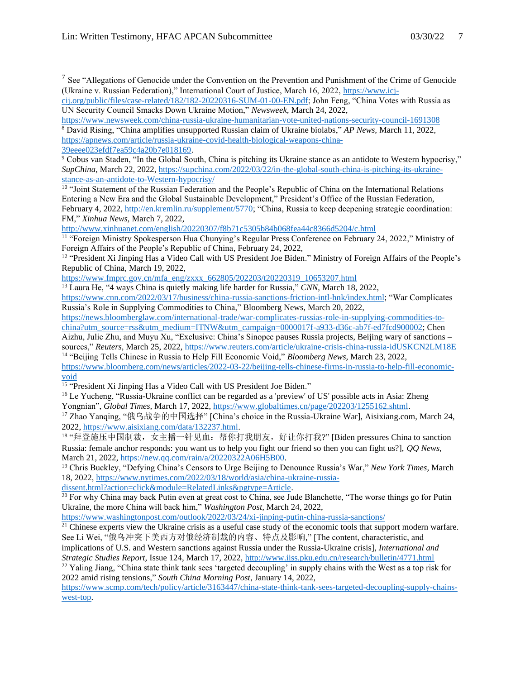<sup>7</sup> See "Allegations of Genocide under the Convention on the Prevention and Punishment of the Crime of Genocide (Ukraine v. Russian Federation)," International Court of Justice, March 16, 2022, [https://www.icj-](https://www.icj-cij.org/public/files/case-related/182/182-20220316-SUM-01-00-EN.pdf)

[39eeee023efdf7ea59c4a20b7e018169.](https://apnews.com/article/russia-ukraine-covid-health-biological-weapons-china-39eeee023efdf7ea59c4a20b7e018169)

<sup>9</sup> Cobus van Staden, "In the Global South, China is pitching its Ukraine stance as an antidote to Western hypocrisy," *SupChina,* March 22, 2022, [https://supchina.com/2022/03/22/in-the-global-south-china-is-pitching-its-ukraine](https://supchina.com/2022/03/22/in-the-global-south-china-is-pitching-its-ukraine-stance-as-an-antidote-to-western-hypocrisy/)[stance-as-an-antidote-to-Western-hypocrisy/](https://supchina.com/2022/03/22/in-the-global-south-china-is-pitching-its-ukraine-stance-as-an-antidote-to-western-hypocrisy/)

<sup>10</sup> "Joint Statement of the Russian Federation and the People's Republic of China on the International Relations Entering a New Era and the Global Sustainable Development," President's Office of the Russian Federation, February 4, 2022[, http://en.kremlin.ru/supplement/5770;](http://en.kremlin.ru/supplement/5770) "China, Russia to keep deepening strategic coordination: FM," *Xinhua News,* March 7, 2022,

<http://www.xinhuanet.com/english/20220307/f8b71c5305b84b068fea44c8366d5204/c.html>

<sup>11</sup> "Foreign Ministry Spokesperson Hua Chunying's Regular Press Conference on February 24, 2022," Ministry of Foreign Affairs of the People's Republic of China, February 24, 2022,

[https://www.fmprc.gov.cn/mfa\\_eng/zxxx\\_662805/202203/t20220319\\_10653207.html](https://www.fmprc.gov.cn/mfa_eng/zxxx_662805/202203/t20220319_10653207.html)

<sup>13</sup> Laura He, "4 ways China is quietly making life harder for Russia," *CNN,* March 18, 2022,

[https://www.cnn.com/2022/03/17/business/china-russia-sanctions-friction-intl-hnk/index.html;](https://www.cnn.com/2022/03/17/business/china-russia-sanctions-friction-intl-hnk/index.html) "War Complicates Russia's Role in Supplying Commodities to China," Bloomberg News*,* March 20, 2022,

[https://news.bloomberglaw.com/international-trade/war-complicates-russias-role-in-supplying-commodities-to](https://news.bloomberglaw.com/international-trade/war-complicates-russias-role-in-supplying-commodities-to-china?utm_source=rss&utm_medium=ITNW&utm_campaign=0000017f-a933-d36c-ab7f-ed7fcd900002)[china?utm\\_source=rss&utm\\_medium=ITNW&utm\\_campaign=0000017f-a933-d36c-ab7f-ed7fcd900002;](https://news.bloomberglaw.com/international-trade/war-complicates-russias-role-in-supplying-commodities-to-china?utm_source=rss&utm_medium=ITNW&utm_campaign=0000017f-a933-d36c-ab7f-ed7fcd900002) Chen

Aizhu, Julie Zhu, and Muyu Xu, "Exclusive: China's Sinopec pauses Russia projects, Beijing wary of sanctions – sources," *Reuters*, March 25, 2022, https://www.reuters.com/article/ukraine-crisis-china-russia-idUSKCN2LM18E <sup>14</sup> "Beijing Tells Chinese in Russia to Help Fill Economic Void," *Bloomberg News,* March 23, 2022,

[https://www.bloomberg.com/news/articles/2022-03-22/beijing-tells-chinese-firms-in-russia-to-help-fill-economic](https://www.bloomberg.com/news/articles/2022-03-22/beijing-tells-chinese-firms-in-russia-to-help-fill-economic-void)[void](https://www.bloomberg.com/news/articles/2022-03-22/beijing-tells-chinese-firms-in-russia-to-help-fill-economic-void)

<sup>15</sup> "President Xi Jinping Has a Video Call with US President Joe Biden."

<sup>16</sup> Le Yucheng, "Russia-Ukraine conflict can be regarded as a 'preview' of US' possible acts in Asia: Zheng Yongnian", *Global Times,* March 17, 2022[, https://www.globaltimes.cn/page/202203/1255162.shtml.](https://www.globaltimes.cn/page/202203/1255162.shtml)

<sup>17</sup> Zhao Yanqing, "俄乌战争的中国选择" [China's choice in the Russia-Ukraine War], Aisixiang.com, March 24, 2022, [https://www.aisixiang.com/data/132237.html.](https://www.aisixiang.com/data/132237.html)

18 "拜登施压中国制裁, 女主播一针见血: 帮你打我朋友, 好让你打我?" [Biden pressures China to sanction Russia: female anchor responds: you want us to help you fight our friend so then you can fight us?], *QQ News*, March 21, 2022[, https://new.qq.com/rain/a/20220322A06H5B00.](https://new.qq.com/rain/a/20220322A06H5B00)

<sup>19</sup> Chris Buckley, "Defying China's Censors to Urge Beijing to Denounce Russia's War," *New York Times,* March 18, 2022, [https://www.nytimes.com/2022/03/18/world/asia/china-ukraine-russia-](https://www.nytimes.com/2022/03/18/world/asia/china-ukraine-russia-dissent.html?action=click&module=RelatedLinks&pgtype=Article)

[dissent.html?action=click&module=RelatedLinks&pgtype=Article.](https://www.nytimes.com/2022/03/18/world/asia/china-ukraine-russia-dissent.html?action=click&module=RelatedLinks&pgtype=Article)

 $20$  For why China may back Putin even at great cost to China, see Jude Blanchette, "The worse things go for Putin Ukraine, the more China will back him," *Washington Post,* March 24, 2022,

<https://www.washingtonpost.com/outlook/2022/03/24/xi-jinping-putin-china-russia-sanctions/>

 $21$  Chinese experts view the Ukraine crisis as a useful case study of the economic tools that support modern warfare. See Li Wei, "俄乌冲突下美西方对俄经济制裁的内容、特点及影响," [The content, characteristic, and

implications of U.S. and Western sanctions against Russia under the Russia-Ukraine crisis], *International and Strategic Studies Report,* Issue 124, March 17, 2022,<http://www.iiss.pku.edu.cn/research/bulletin/4771.html> <sup>22</sup> Yaling Jiang, "China state think tank sees 'targeted decoupling' in supply chains with the West as a top risk for

2022 amid rising tensions," *South China Morning Post*, January 14, 2022,

[https://www.scmp.com/tech/policy/article/3163447/china-state-think-tank-sees-targeted-decoupling-supply-chains](https://www.scmp.com/tech/policy/article/3163447/china-state-think-tank-sees-targeted-decoupling-supply-chains-west-top)[west-top.](https://www.scmp.com/tech/policy/article/3163447/china-state-think-tank-sees-targeted-decoupling-supply-chains-west-top) 

[cij.org/public/files/case-related/182/182-20220316-SUM-01-00-EN.pdf;](https://www.icj-cij.org/public/files/case-related/182/182-20220316-SUM-01-00-EN.pdf) John Feng, "China Votes with Russia as UN Security Council Smacks Down Ukraine Motion," *Newsweek,* March 24, 2022,

<https://www.newsweek.com/china-russia-ukraine-humanitarian-vote-united-nations-security-council-1691308> <sup>8</sup> David Rising, "China amplifies unsupported Russian claim of Ukraine biolabs," *AP News,* March 11, 2022, [https://apnews.com/article/russia-ukraine-covid-health-biological-weapons-china-](https://apnews.com/article/russia-ukraine-covid-health-biological-weapons-china-39eeee023efdf7ea59c4a20b7e018169)

<sup>&</sup>lt;sup>12</sup> "President Xi Jinping Has a Video Call with US President Joe Biden." Ministry of Foreign Affairs of the People's Republic of China*,* March 19, 2022,